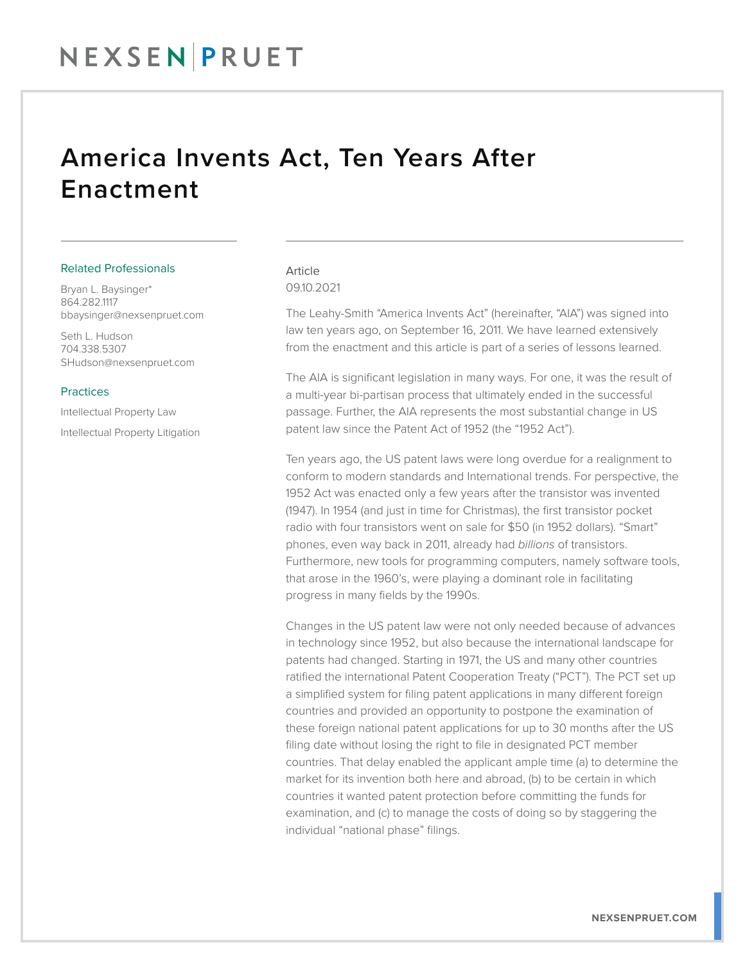## NEXSENPRUET

### America Invents Act, Ten Years After Enactment

#### Related Professionals

Bryan L. Baysinger\* 864.282.1117 bbaysinger@nexsenpruet.com

Seth L. Hudson 704.338.5307 SHudson@nexsenpruet.com

#### **Practices**

Intellectual Property Law Intellectual Property Litigation

#### Article 09.10.2021

The Leahy-Smith "America Invents Act" (hereinafter, "AIA") was signed into law ten years ago, on September 16, 2011. We have learned extensively from the enactment and this article is part of a series of lessons learned.

The AIA is significant legislation in many ways. For one, it was the result of a multi-year bi-partisan process that ultimately ended in the successful passage. Further, the AIA represents the most substantial change in US patent law since the Patent Act of 1952 (the "1952 Act").

Ten years ago, the US patent laws were long overdue for a realignment to conform to modern standards and International trends. For perspective, the 1952 Act was enacted only a few years after the transistor was invented (1947). In 1954 (and just in time for Christmas), the first transistor pocket radio with four transistors went on sale for \$50 (in 1952 dollars). "Smart" phones, even way back in 2011, already had *billions* of transistors. Furthermore, new tools for programming computers, namely software tools, that arose in the 1960's, were playing a dominant role in facilitating progress in many fields by the 1990s.

Changes in the US patent law were not only needed because of advances in technology since 1952, but also because the international landscape for patents had changed. Starting in 1971, the US and many other countries ratified the international Patent Cooperation Treaty ("PCT"). The PCT set up a simplified system for filing patent applications in many different foreign countries and provided an opportunity to postpone the examination of these foreign national patent applications for up to 30 months after the US filing date without losing the right to file in designated PCT member countries. That delay enabled the applicant ample time (a) to determine the market for its invention both here and abroad, (b) to be certain in which countries it wanted patent protection before committing the funds for examination, and (c) to manage the costs of doing so by staggering the individual "national phase" filings.